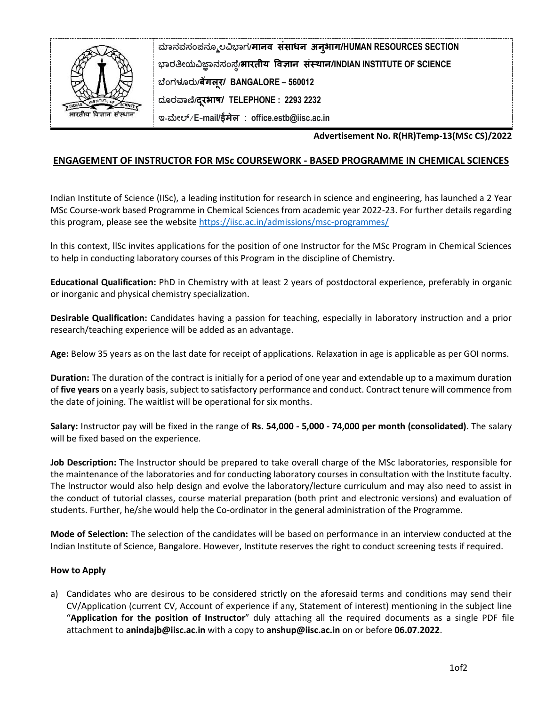

**ಮಾನವಸಂಪನಮೂಲವಿಭಾಗ/मानव संसाधन अनुभाग/HUMAN RESOURCES SECTION ಭಾರತೀಯವಿಜ್ಞಾನಸಂಸ್ಥೆ/भारतीय ववज्ञान संस्थान/INDIAN INSTITUTE OF SCIENCE ಬಥಂಗಳೂರು/बेंगलूर/ BANGALORE – 560012 ದಮರವಾಣಿ/दरभाष/ ू TELEPHONE : 2293 2232 ಇ-ಮೀಲ್**/**E**-**mail/ईमेल** : **office.estb@iisc.ac.in**

**Advertisement No. R(HR)Temp-13(MSc CS)/2022**

## **ENGAGEMENT OF INSTRUCTOR FOR MSc COURSEWORK - BASED PROGRAMME IN CHEMICAL SCIENCES**

Indian Institute of Science (IISc), a leading institution for research in science and engineering, has launched a 2 Year MSc Course-work based Programme in Chemical Sciences from academic year 2022-23. For further details regarding this program, please see the website<https://iisc.ac.in/admissions/msc-programmes/>

ln this context, llSc invites applications for the position of one Instructor for the MSc Program in Chemical Sciences to help in conducting laboratory courses of this Program in the discipline of Chemistry.

**Educational Qualification:** PhD in Chemistry with at least 2 years of postdoctoral experience, preferably in organic or inorganic and physical chemistry specialization.

**Desirable Qualification:** Candidates having a passion for teaching, especially in laboratory instruction and a prior research/teaching experience will be added as an advantage.

**Age:** Below 35 years as on the last date for receipt of applications. Relaxation in age is applicable as per GOI norms.

**Duration:** The duration of the contract is initially for a period of one year and extendable up to a maximum duration of **five years** on a yearly basis, subject to satisfactory performance and conduct. Contract tenure will commence from the date of joining. The waitlist will be operational for six months.

**Salary:** Instructor pay will be fixed in the range of **Rs. 54,000 - 5,000 - 74,000 per month (consolidated)**. The salary will be fixed based on the experience.

**Job Description:** The lnstructor should be prepared to take overall charge of the MSc laboratories, responsible for the maintenance of the laboratories and for conducting laboratory courses in consultation with the lnstitute faculty. The lnstructor would also help design and evolve the laboratory/lecture curriculum and may also need to assist in the conduct of tutorial classes, course material preparation (both print and electronic versions) and evaluation of students. Further, he/she would help the Co-ordinator in the general administration of the Programme.

**Mode of Selection:** The selection of the candidates will be based on performance in an interview conducted at the Indian Institute of Science, Bangalore. However, Institute reserves the right to conduct screening tests if required.

## **How to Apply**

a) Candidates who are desirous to be considered strictly on the aforesaid terms and conditions may send their CV/Application (current CV, Account of experience if any, Statement of interest) mentioning in the subject line "**Application for the position of Instructor**" duly attaching all the required documents as a single PDF file attachment to **[anindajb@iisc.ac.in](mailto:anindajb@iisc.ac.in)** with a copy to **anshup@iisc.ac.in** on or before **06.07.2022**.